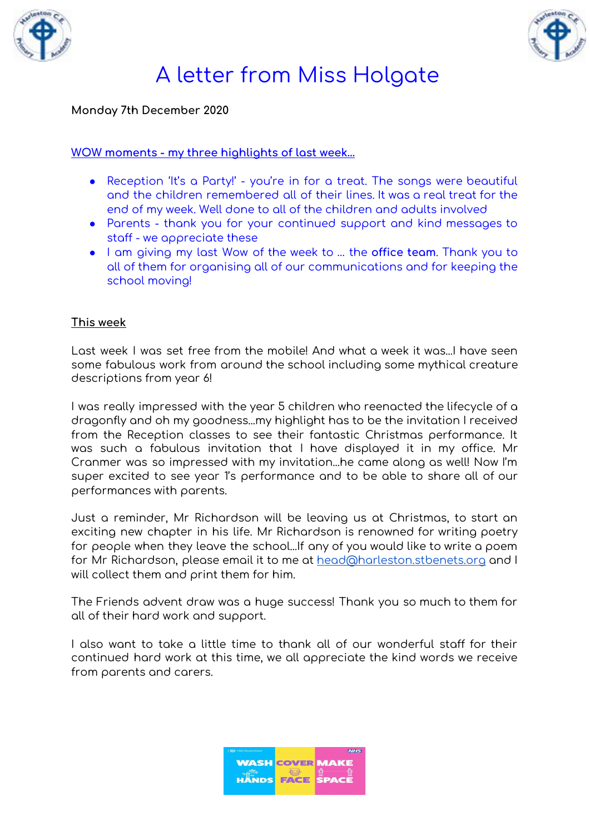



#### **Monday 7th December 2020**

#### **WOW moments - my three highlights of last week…**

- Reception 'It's a Party!' you're in for a treat. The songs were beautiful and the children remembered all of their lines. It was a real treat for the end of my week. Well done to all of the children and adults involved
- Parents thank you for your continued support and kind messages to staff - we appreciate these
- I am giving my last Wow of the week to … the **office team**. Thank you to all of them for organising all of our communications and for keeping the school moving!

#### **This week**

Last week I was set free from the mobile! And what a week it was...I have seen some fabulous work from around the school including some mythical creature descriptions from year 6!

I was really impressed with the year 5 children who reenacted the lifecycle of a dragonfly and oh my goodness...my highlight has to be the invitation I received from the Reception classes to see their fantastic Christmas performance. It was such a fabulous invitation that I have displayed it in my office. Mr Cranmer was so impressed with my invitation...he came along as well! Now I'm super excited to see year 1's performance and to be able to share all of our performances with parents.

Just a reminder, Mr Richardson will be leaving us at Christmas, to start an exciting new chapter in his life. Mr Richardson is renowned for writing poetry for people when they leave the school...If any of you would like to write a poem for Mr Richardson, please email it to me at [head@harleston.stbenets.org](mailto:head@harleston.stbenets.org) and I will collect them and print them for him.

The Friends advent draw was a huge success! Thank you so much to them for all of their hard work and support.

I also want to take a little time to thank all of our wonderful staff for their continued hard work at this time, we all appreciate the kind words we receive from parents and carers.

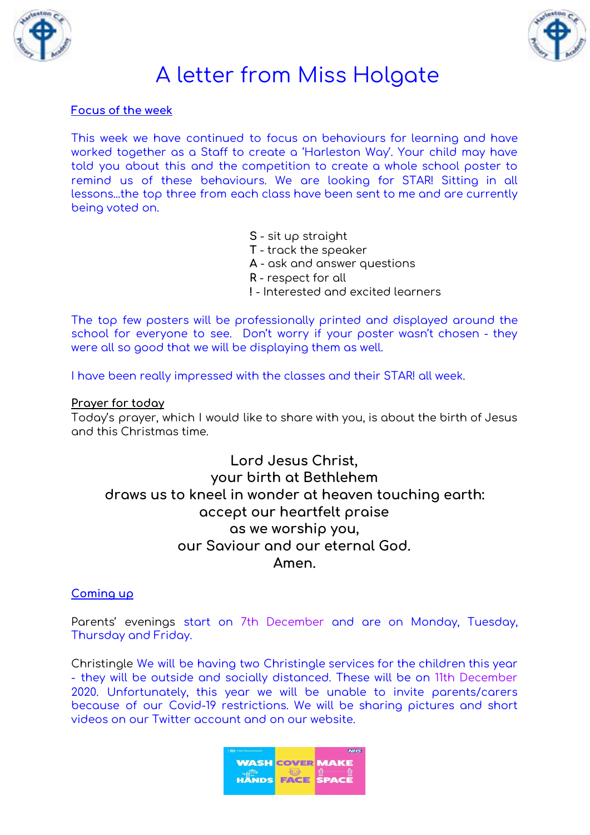



#### **Focus of the week**

This week we have continued to focus on behaviours for learning and have worked together as a Staff to create a 'Harleston Way'. Your child may have told you about this and the competition to create a whole school poster to remind us of these behaviours. We are looking for STAR! Sitting in all lessons...the top three from each class have been sent to me and are currently being voted on.

- **S** sit up straight
- **T** track the speaker
- **A** ask and answer questions
- **R** respect for all
- **!** Interested and excited learners

The top few posters will be professionally printed and displayed around the school for everyone to see. Don't worry if your poster wasn't chosen - they were all so good that we will be displaying them as well.

I have been really impressed with the classes and their STAR! all week.

#### **Prayer for today**

Today's prayer, which I would like to share with you, is about the birth of Jesus and this Christmas time.

**Lord Jesus Christ, your birth at Bethlehem draws us to kneel in wonder at heaven touching earth: accept our heartfelt praise as we worship you, our Saviour and our eternal God. Amen.**

#### **Coming up**

Parents' evenings start on 7th December and are on Monday, Tuesday, Thursday and Friday.

Christingle We will be having two Christingle services for the children this year - they will be outside and socially distanced. These will be on 11th December 2020. Unfortunately, this year we will be unable to invite parents/carers because of our Covid-19 restrictions. We will be sharing pictures and short videos on our Twitter account and on our website.

| 表決 HM Government |                         | <b>NHS</b> |
|------------------|-------------------------|------------|
|                  | <b>WASH COVER MAKE</b>  |            |
|                  | <b>HANDS FACE SPACE</b> |            |
|                  |                         |            |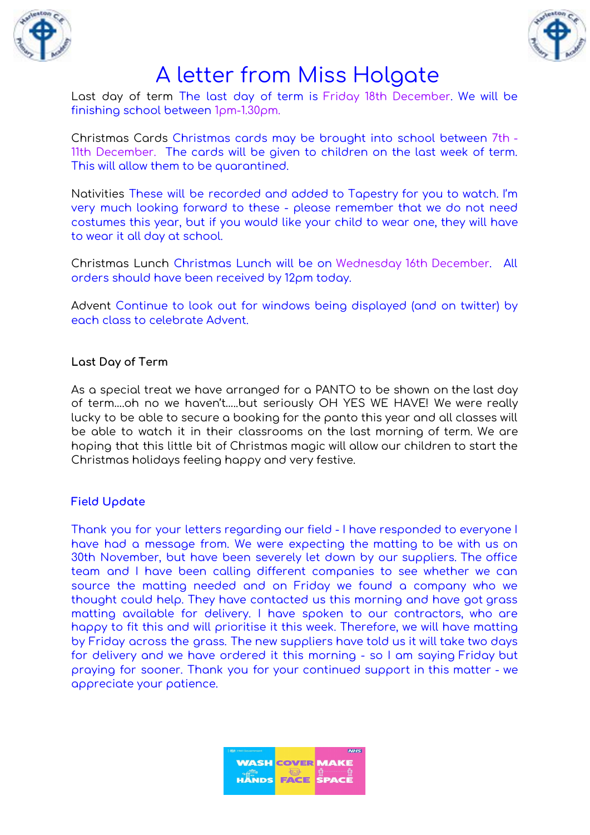



Last day of term The last day of term is Friday 18th December. We will be finishing school between 1pm-1.30pm.

Christmas Cards Christmas cards may be brought into school between 7th - 11th December. The cards will be given to children on the last week of term. This will allow them to be quarantined.

Nativities These will be recorded and added to Tapestry for you to watch. I'm very much looking forward to these - please remember that we do not need costumes this year, but if you would like your child to wear one, they will have to wear it all day at school.

Christmas Lunch Christmas Lunch will be on Wednesday 16th December. All orders should have been received by 12pm today.

Advent Continue to look out for windows being displayed (and on twitter) by each class to celebrate Advent.

#### **Last Day of Term**

As a special treat we have arranged for a PANTO to be shown on the last day of term….oh no we haven't…..but seriously OH YES WE HAVE! We were really lucky to be able to secure a booking for the panto this year and all classes will be able to watch it in their classrooms on the last morning of term. We are hoping that this little bit of Christmas magic will allow our children to start the Christmas holidays feeling happy and very festive.

#### **Field Update**

Thank you for your letters regarding our field - I have responded to everyone I have had a message from. We were expecting the matting to be with us on 30th November, but have been severely let down by our suppliers. The office team and I have been calling different companies to see whether we can source the matting needed and on Friday we found a company who we thought could help. They have contacted us this morning and have got grass matting available for delivery. I have spoken to our contractors, who are happy to fit this and will prioritise it this week. Therefore, we will have matting by Friday across the grass. The new suppliers have told us it will take two days for delivery and we have ordered it this morning - so I am saying Friday but praying for sooner. Thank you for your continued support in this matter - we appreciate your patience.